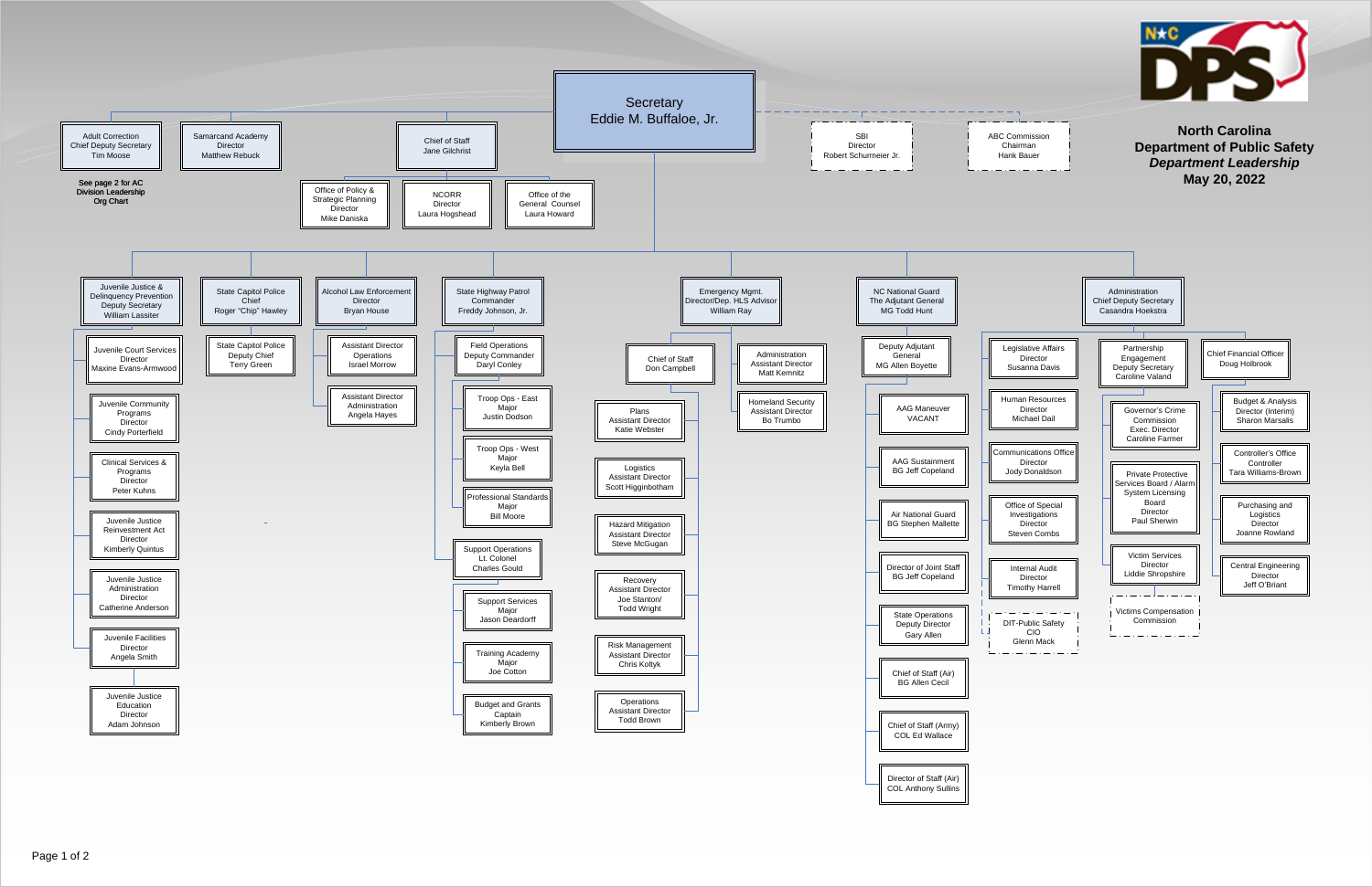